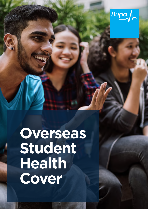

**Overseas Student Health Cover**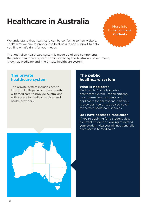# **Healthcare in Australia**

We understand that healthcare can be confusing to new visitors. That's why we aim to provide the best advice and support to help you find what's right for your needs.

The Australian healthcare system is made up of two components, the public healthcare system administered by the Australian Government, known as Medicare and, the private healthcare system.

### **The private healthcare system**

The private system includes health insurers like Bupa, who come together with Medicare to provide Australians with access to medical services and health providers.

### **The public healthcare system**

#### **What is Medicare?**

Medicare is Australia's public healthcare system - for all citizens, most permanent residents and applicants for permanent residency. It provides free or subsidised cover for certain healthcare services.

#### **Do I have access to Medicare?**

If you're applying for a student visa, a current student or looking to extend your student visa you will not generally have access to Medicare.<sup>1</sup>



More info **bupa.com.au/ students**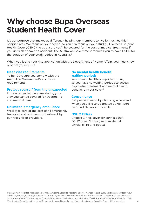## **Why choose Bupa Overseas Student Health Cover**

It's our purpose that makes us different – helping our members to live longer, healthier, happier lives. We focus on your health, so you can focus on your studies. Overseas Student Health Cover (OSHC) helps ensure you'll be covered for the cost of medical treatments if you get sick or have an accident. The Australian Government requires you to have OSHC for the duration of your study period in Australia.<sup>2</sup>

When you lodge your visa application with the Department of Home Affairs you must show proof of your OSHC.

#### **Meet visa requirements**

To be 100% sure you comply with the Australian Government's insurance requirements.

#### **Protect yourself from the unexpected**

If the unexpected happens during your stay you can be covered for treatments and medical care.

#### **Unlimited emergency ambulance**

We'll take care of the cost of all emergency transport and on-the-spot treatment by our recognised providers.

#### **No mental health benefit waiting periods**

Your mental health is important to us, so you have no waiting periods to access psychiatric treatment and mental health benefits on your cover.<sup>3</sup>

#### **Convenience**

Get peace of mind by choosing where and when you'd like to be treated at Members First and Network Hospitals.

#### **OSHC Extras**

Choose Extras cover for services that OSHC doesn't cover, such as dental, physio, chiro and optical.

1 Students from reciprocal health countries may have some access to Medicare, however may still require OSHC. Visit humanservices.gov.au/ individuals/services/medicare/reciprocal-health-care-agreements to find out more. 2 Students from selected countries may have some access to Medicare, however may still require OSHC. Visit humanservices.gov.au/customer/enablers/health-care-visitors-australia to find out more. 3 The standard 2 months waiting period for pre-existing conditions of a psychiatric nature is not enforced by Bupa until further notice.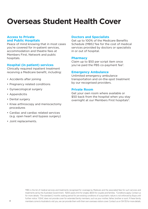# **Overseas Student Health Cover**

#### **Access to Private and Public Hospitals**

Peace of mind knowing that in most cases you're covered for in-patient services, accommodation and theatre fees at Members First, Network and public hospitals.

#### **Hospital (in patient) services**

Clinically required inpatient treatment receiving a Medicare benefit, including:

- Accidents after joining
- Pregnancy related conditions
- Gynaecological surgery
- Appendicitis
- Dental surgery
- Knee arthroscopy and meniscectomy procedures
- Cardiac and cardiac related services (e.g. open heart and bypass surgery)
- Joint replacements.

#### **Doctors and Specialists**

Get up to 100% of the Medicare Benefits Schedule (MBS)<sup>1</sup> fee for the cost of medical services provided by doctors or specialists in or out of hospital.

#### **Pharmacy**

Claim up to \$50 per script item once you've paid the PBS co-payment fee2.

#### **Emergency Ambulance**

Unlimited emergency ambulance transportation and on-the-spot treatment by our recognised providers.

#### **Private Room**

Get your own room where available or \$50 back from the hospital when you stay overnight at our Members First hospitals<sup>3</sup>.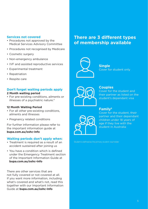#### **Services not covered**

- Procedures not approved by the Medical Services Advisory Committee
- Procedures not recognised by Medicare
- Cosmetic surgery
- Non-emergency ambulance
- IVF and assisted reproductive services
- Experimental treatment
- Repatriation
- Respite care

#### **Don't forget waiting periods apply**

#### **2 Month waiting period**

• For pre-existing conditions, ailments or illnesses of a psychiatric nature.<sup>4</sup>

#### **12 Month Waiting Period**

- For all other pre-existing conditions, ailments and illnesses
- Pregnancy related conditions

For further information please refer to the important information guide at **bupa.com.au/oshc-info** 

#### **Waiting periods don't apply when:**

- Treatment is required as a result of an accident sustained after joining us
- You have a condition which is defined under the Emergency Treatment section of the Important Information Guide at **bupa.com.au/oshc-Info**

There are other services that are not fully covered or not covered at all. If you want more information, including what's covered and what's not, read this together with our Important Information Guide at **bupa.com.au/oshc-Info**

### **There are 3 different types of membership available**



**Single** Cover for student only



#### **Couples**

Cover for the student and their partner as listed on the student's dependant visa

#### **Family5**



Cover for the student, their partner and their dependant children under 18 years of age if they live with the student in Australia

Student is defined as the primary student visa holder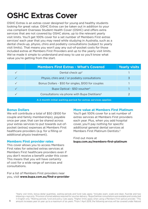# **OSHC Extras Cover**

OSHC Extras is an extras cover designed for young and healthy students looking for great value. OSHC Extras can be taken out in addition to your visa compliant Overseas Student Health Cover (OSHC) and offers extra services that are not covered by OSHC alone, up to the relevant yearly visit limits. You'll get 100% cover for a set number of Members First extras services<sup>1</sup> each year that you may need while studying in Australia, such as a dental check-up, physio, chiro and podiatry consultations (subject to yearly visit limits). That means you won't pay any out-of-pocket costs for those included extras at Members First Providers and up to the yearly visit limits. We've made it simple to understand and easy to use so you'll know what value you're getting from the start.

|                                                              | <b>Members First Extras - What's Covered</b>              | <b>Yearly visits</b> |  |  |  |  |
|--------------------------------------------------------------|-----------------------------------------------------------|----------------------|--|--|--|--|
|                                                              | Dental check up <sup>2</sup>                              |                      |  |  |  |  |
|                                                              | Physio, chiro and / or podiatry consultations             | 3                    |  |  |  |  |
|                                                              | Bonus Dollars - \$50 for singles, \$100 for couples       |                      |  |  |  |  |
|                                                              | Bupa Optical - \$50 voucher <sup>3</sup>                  |                      |  |  |  |  |
|                                                              | Consultations via phone with Bupa Dietitians <sup>4</sup> |                      |  |  |  |  |
| A 2 month initial waiting period for extras services applies |                                                           |                      |  |  |  |  |

#### **Bonus Dollars**

We will contribute a total of \$50 (\$100 for couple and family memberships), payable once per year, that can be shared across your extras services to put towards out-ofpocket (extras) expenses at Members First healthcare providers (e.g. for a filling or additional physio treatment).

#### **Members First provider rates**

This cover allows you to access Members First rates for selected extras services at Members First healthcare providers even if you don't receive a benefit under this cover. This means that you will have certainty of cost for a wide range of services and consultations.

For a list of Members First providers near you, visit **www.bupa.com.au/find-a-provider** 

#### **More value at Members First Platinum**

You'll get 100% cover for a set number of extras services at Members First providers each year. Plus, when you add hospital cover, you'll pay nothing for specific additional general dental services at Members First Platinum Dentists<sup>5</sup>

Find out more at **bupa.com.au/members-first-platinum**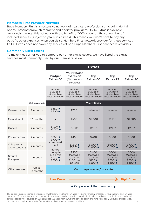#### **Members First Provider Network**

Bupa Members First is an extensive network of healthcare professionals including dental, optical, physiotherapy, chiropractic and podiatry providers. OSHC Extras is available exclusively through this network with the benefit of 100% cover on the set number of included services (subject to yearly visit limits). This means you won't have to pay any out-of-pocket expenses when you visit a Members First Network provider for these services. OSHC Extras does not cover any services at non-Bupa Members First healthcare providers.

#### **Commonly used Extras**

To make it easier for you to compare our other extras covers, we have listed the extras services most commonly used by our members below.

|                                   |                        | <b>Extras</b>                                                                                                           |                                                                                                 |                                                                     |                                                                    |                                                                    |
|-----------------------------------|------------------------|-------------------------------------------------------------------------------------------------------------------------|-------------------------------------------------------------------------------------------------|---------------------------------------------------------------------|--------------------------------------------------------------------|--------------------------------------------------------------------|
|                                   |                        | <b>Budget</b><br>Extras <sub>60</sub>                                                                                   | <b>Your Choice</b><br><b>Extras 60</b><br>(Choose four<br>services)                             | <b>Top</b><br>Extras <sub>60</sub>                                  | <b>Top</b><br>Extras 75                                            | Top<br>Extras 90                                                   |
|                                   |                        | At least<br>60% back<br>at Members                                                                                      | At least<br>60% back<br>at Members<br>First providers <sup>9</sup> First providers <sup>9</sup> | At least<br>60% back<br>at Members<br>First providers <sup>9</sup>  | At least<br>75% back<br>at Members<br>First providers <sup>9</sup> | At least<br>90% back<br>at Members<br>First providers <sup>9</sup> |
|                                   | <b>Waiting periods</b> |                                                                                                                         |                                                                                                 | <b>Yearly limits</b>                                                |                                                                    |                                                                    |
| General dental                    | 2 months               | \$350 ♦<br>\$700 ●                                                                                                      | \$7007                                                                                          | Unlimited                                                           | Unlimited                                                          | Unlimited                                                          |
| Major dental                      | 12 months              | $\boldsymbol{x}$                                                                                                        | \$5007                                                                                          | \$1,000                                                             | \$1,100                                                            | \$1,200                                                            |
| Optical                           | 2 months               | $$150^6$ $\blacklozenge$<br>\$3006 ●                                                                                    | \$1806                                                                                          | \$2006                                                              | $$240^6$                                                           | \$2806                                                             |
| Physiotherapy                     | 2 months               | \$350 ♦<br>\$700 ●<br>combined<br>limit<br>Natural<br>therapies<br>sub-limit:<br>$$100 \rightarrow$<br>$$200$ $\bullet$ | \$450 <sup>7</sup>                                                                              | \$700                                                               | \$800                                                              | \$900                                                              |
| Chiropractic<br>and osteopathy    | 2 months               |                                                                                                                         | \$3507<br>$$5007$ $\bullet$                                                                     | $$500$ $\blacklozenge$<br>$$1.000 \bullet$                          | $$600 \blacklozenge$<br>$$1,200$ $\bullet$                         | \$700 ♦<br>$$1,400$ $\bullet$                                      |
| Natural<br>therapies <sup>8</sup> | 2 months               |                                                                                                                         | \$5007<br>Massage<br>sub-limit:<br>\$100 per<br>person                                          | \$400<br>Massage<br>sub-limit:<br>$$150$ $\blacklozenge$<br>\$300 ● | \$500<br>Massage<br>sub-limit:<br>$$200$ $\blacklozenge$<br>\$400  | \$500<br>Massage<br>sub-limit:<br>$$200$ $\blacklozenge$<br>\$400  |
| Other services                    | Up to<br>12 months     | Go to: bupa.com.au/oshc-info                                                                                            |                                                                                                 |                                                                     |                                                                    |                                                                    |
|                                   |                        | <b>Low Cover</b>                                                                                                        |                                                                                                 |                                                                     |                                                                    | <b>High Cover</b>                                                  |
|                                   |                        | $\blacklozenge$ Per person $\blacklozenge$ Per membership                                                               |                                                                                                 |                                                                     |                                                                    |                                                                    |

Therapies; Massage (remedial massage, myotherapy, Traditional Chinese Medicine remedial massage), Acupuncture, and Chinese herbalism <sup>9</sup>For most items at our Members First extras providers covering dental, physio, chiro, podiatry consultations and selected optical (podiatry not covered on Budget Extras 60). Yearly limits, waiting periods, policy and fund rules apply. Excludes orthodontics , orthotics and hospital treatments. Set benefits apply at other recognised providers.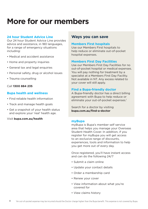# **More for our members**

#### **24 hour Student Advice Line**

Our 24 hour Student Advice Line provides advice and assistance, in 180 languages, for a range of emergency situations including:

- Medical and accident assistance
- Home and property inquiries
- General tax and legal enquiries
- Personal safety, drug or alcohol issues
- Trauma counselling

#### Call **1300 884 235**

#### **Bupa health and wellness**

- Find reliable health information
- Track and manage health goals
- Get a snapshot of your health status and explore your 'real' health age.

#### Visit **bupa.com.au/health**

### **Ways you can save**

#### **Members First hospitals**

Use our Members First hospitals to help reduce or eliminate out-of-pocket hospital expenses.

#### **Members First Day Facilities**

Use our Members First Day Facilities for no out-of-pocket hospital or medical expenses. You will pay nothing for treatment by a specialist at a Members First Day Facility. Not available in NT. Any excess related to your cover will still apply.

#### **Find a Bupa-friendly doctor**

A Bupa-friendly doctor has a direct billing agreement with Bupa to help reduce or eliminate your out-of-pocket expenses.<sup>1</sup>

Search for a doctor by visiting **bupa.com.au/find-a-doctor**

#### **myBupa**

myBupa is Bupa's member self service area that helps you manage your Overseas Student Health Cover. In addition, if you register for myBupa you will get access to an exclusive range of discounts, experiences, tools and information to help you get more out of every day.

Once registered, you'll have instant access and can do the following 24/7

- Submit a claim online
- Update your contact details
- Order a membership card
- Renew your cover
- View information about what you're covered for
- View claims history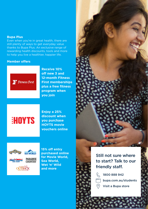#### **Bupa Plus**

Even when you're in great health, there are still plenty of ways to get everyday value thanks to Bupa Plus. An exclusive range of rewarding health discounts, tools and more to help you live a healthier, happier life.

#### **Member offers**



**Receive 10% off new 3 and 12-month Fitness First memberships plus a free fitness program when you join**

# **HOYTS**

**Enjoy a 25% discount when you purchase HOYTS movie vouchers online**



**15% off entry purchased online for Movie World, Sea World, Wet 'n' Wild and more**



### Still not sure where to start? Talk to our friendly staff.

1800 888 942 bupa.com.au/students Visit a Bupa store

9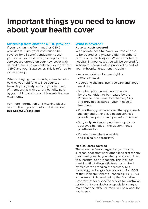# **Important things you need to know about your health cover**

#### **Switching from another OSHC provider**

If you're changing from another OSHC provider to Bupa, you'll continue to be covered for all benefit entitlements that you had on your old cover, as long as these services are offered on your new cover with us, and there is no gap between your previous OSHC and your Bupa cover. This is referred to as 'continuity'.

When changing health funds, extras benefits paid by your old fund will be counted towards your yearly limits in your first year of membership with us. Any benefits paid by your old fund also count towards lifetime maximums.

For more information on switching please refer to the Important Information Guide; **bupa.com.au/oshc-info**

#### **What is covered?**

#### **Hospital costs covered**

With private hospital cover, you can choose to be treated as a private patient in either a private or public hospital. When admitted to hospital, in most cases you will be covered for in-hospital charges when provided as part of your in-hospital treatment including:

- Accommodation for overnight or same-day stays
- Operating theatre, intensive care and labour ward fees
- Supplied pharmaceuticals approved for the condition to be treated by the Pharmaceutical Benefits Scheme (PBS) and provided as part of your in hospital treatment
- Physiotherapy, occupational therapy, speech therapy and other allied health services provided as part of an inpatient admission
- Surgically implanted prosthesis up to the approved benefit on the Government's prosthesis list.
- Private room where available and clinically appropriate.<sup>1</sup>

#### **Medical costs covered**

These are the fees charged by your doctor, surgeon, anaesthetist or other specialist for any treatment given to you when you are admitted to a hospital as an inpatient. This includes most inpatient diagnostic tests recognised by Medicare as medically necessary (e.g. pathology, radiology). We cover you for 100% of the Medicare Benefits Schedule (MBS). This is the amount determined by the Australian Government for a specific service for Australian residents. If your doctor or specialist charges more than the MBS Fee there will be a 'gap' for you to pay.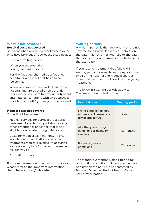#### **What is not covered?**

#### **Hospital costs not covered**

Situations when you are likely not to be covered or to have large out-of-pocket expenses include:

- During a waiting period
- When you are treated at a non-agreement hospital
- For the fixed fee charged by a fixed fee hospital or a hospital that has a fixed fee service
- When you have not been admitted into a hospital and are treated as an outpatient (e.g. emergency room treatment, outpatient antenatal consultations with an obstetrician prior to child birth) you may not be covered

#### **Medical costs not covered**

You will not be covered for:

- Medical services for surgical procedures performed by a dentist, podiatrist, or any other practitioner or service that is not eligible for a rebate through Medicare
- Costs for medical examinations, x-rays, inoculation or vaccinations and other treatments require d relating to acquiring a visa for entry into Australia or permanent residency visa
- Cosmetic surgery.

For more information on what is not covered please refer to the Important Information Guide **bupa.com.au/oshc-info**

#### **Waiting periods**

A waiting period is the time when you are not covered for a particular service. It starts on the date that you enter Australia or the date that you start your membership, whichever is the later date.

If you receive treatment that falls within a waiting period, you will have to pay for some or all of the hospital and medical charges unless the treatment is classed as Emergency Treatment.

The following waiting periods apply to Overseas Student Health Cover:

| <b>Hospital cover</b>                                                        | <b>Waiting period</b> |  |  |
|------------------------------------------------------------------------------|-----------------------|--|--|
| Pre-existing conditions,<br>aliments or illnesses of a<br>psychiatric nature | 2 months              |  |  |
| All other pre-existing<br>conditions, ailments or<br>illnesses               | 12 months             |  |  |
| Pregnancy related<br>conditions                                              | 12 months             |  |  |

The standard 2 months waiting period for pre-existing conditions, ailments or illnesses of a psychiatric nature is not enforced by Bupa on Overseas Student Health Cover until further notice.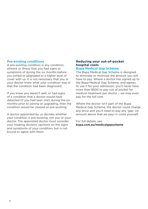#### **Pre-existing conditions**

A pre-existing condition is any condition, ailment or illness that you had signs or symptoms of during the six months before you joined or upgraded to a higher level of cover with us. It is not necessary that you or your doctor knew what your condition was or that the condition had been diagnosed.

If you knew you weren't well, or had signs of a condition that a doctor would have detected (if you had seen one) during the six months prior to joining or upgrading, then the condition would be classed as pre-existing.

A doctor appointed by us decides whether your condition is pre-existing, not you or your doctor. The appointed doctor must consider your treating doctors' opinions on the signs and symptoms of your condition, but is not bound to agree with them.

### **Reducing your out-of-pocket hospital costs**

#### **Bupa Medical Gap Scheme**

The Bupa Medical Gap Scheme is designed to eliminate or minimise the amount you will have to pay. Where a doctor has signed up to the Bupa Medical Gap Scheme, and agrees to use it for your admission, you'll never have more than \$500 to pay out of pocket for medical treatment per doctor – we may even pay for the full cost.

Where the doctor isn't part of the Bupa Medical Gap Scheme, the doctor could charge any price and you'll need to pay any 'gap' (or amount above that we pay) in costs yourself.

For full details, see **bupa.com.au/medicalgapscheme**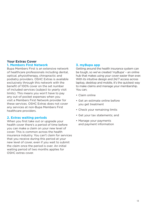#### **Your Extras Cover 1. Members First Network**

Bupa Members First is an extensive network of healthcare professionals including dental, optical, physiotherapy, chiropractic and podiatry providers. OSHC Extras is available exclusively through this network with the benefit of 100% cover on the set number of included services (subject to yearly visit limits). This means you won't have to pay any out-of pocket expenses when you visit a Members First Network provider for these services. OSHC Extras does not cover any services at non-Bupa Members First healthcare providers.

#### **2. Extras waiting periods**

When you first take out or upgrade your health cover there's a period of time before you can make a claim on your new level of cover. This is common across the health insurance industry. You can't claim for services that you receive during this period at your new level of cover, even if you wait to submit the claim once the period is over. An initial waiting period of two months applies for OSHC extras cover.

#### **3. myBupa app**

Getting around the health insurance system can be tough, so we've created 'myBupa' – an online hub that makes using your cover easier than ever. With its intuitive design and 24/7 access across laptop, desktop and mobile, it's the quickest way to make claims and manage your membership. You can;

- Claim online
- Get an estimate online before you get treatment
- Check your remaining limits
- Get your tax statements; and
- Manage your payments and payment information